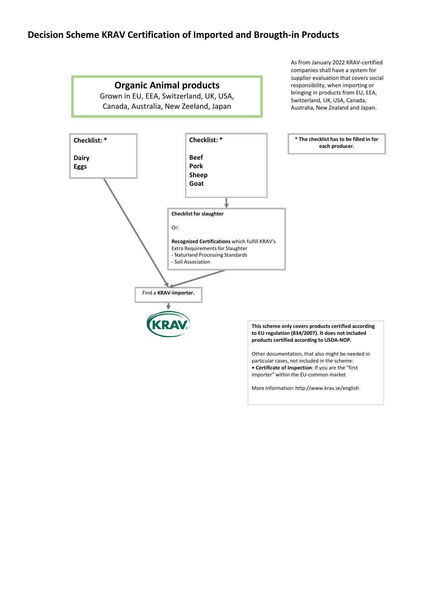# **Decision Scheme KRAV Certification of Imported and Brougth-in Products**